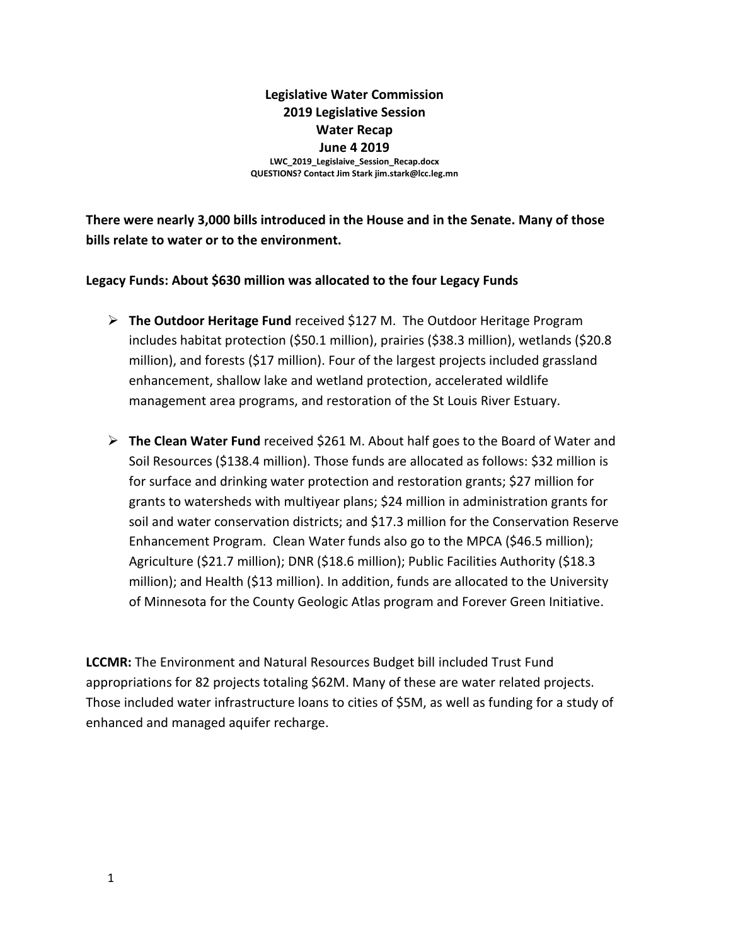## **Legislative Water Commission 2019 Legislative Session Water Recap June 4 2019**

**LWC\_2019\_Legislaive\_Session\_Recap.docx QUESTIONS? Contact Jim Stark jim.stark@lcc.leg.mn** 

**There were nearly 3,000 bills introduced in the House and in the Senate. Many of those bills relate to water or to the environment.** 

**Legacy Funds: About \$630 million was allocated to the four Legacy Funds** 

- **The Outdoor Heritage Fund** received \$127 M. The Outdoor Heritage Program includes habitat protection (\$50.1 million), prairies (\$38.3 million), wetlands (\$20.8 million), and forests (\$17 million). Four of the largest projects included grassland enhancement, shallow lake and wetland protection, accelerated wildlife management area programs, and restoration of the St Louis River Estuary.
- **The Clean Water Fund** received \$261 M. About half goes to the Board of Water and Soil Resources (\$138.4 million). Those funds are allocated as follows: \$32 million is for surface and drinking water protection and restoration grants; \$27 million for grants to watersheds with multiyear plans; \$24 million in administration grants for soil and water conservation districts; and \$17.3 million for the Conservation Reserve Enhancement Program. Clean Water funds also go to the MPCA (\$46.5 million); Agriculture (\$21.7 million); DNR (\$18.6 million); Public Facilities Authority (\$18.3 million); and Health (\$13 million). In addition, funds are allocated to the University of Minnesota for the County Geologic Atlas program and Forever Green Initiative.

**LCCMR:** The Environment and Natural Resources Budget bill included Trust Fund appropriations for 82 projects totaling \$62M. Many of these are water related projects. Those included water infrastructure loans to cities of \$5M, as well as funding for a study of enhanced and managed aquifer recharge.